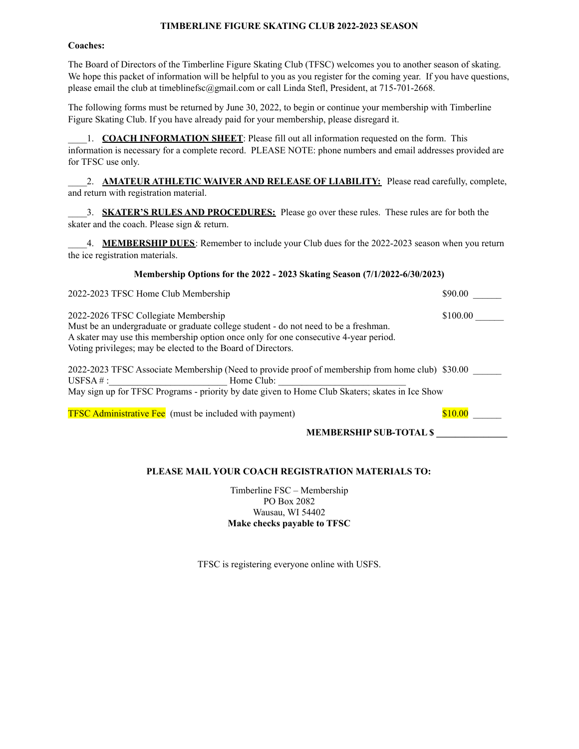#### **TIMBERLINE FIGURE SKATING CLUB 2022-2023 SEASON**

#### **Coaches:**

The Board of Directors of the Timberline Figure Skating Club (TFSC) welcomes you to another season of skating. We hope this packet of information will be helpful to you as you register for the coming year. If you have questions, please email the club at timeblinefsc@gmail.com or call Linda Stefl, President, at 715-701-2668.

The following forms must be returned by June 30, 2022, to begin or continue your membership with Timberline Figure Skating Club. If you have already paid for your membership, please disregard it.

\_\_\_\_1. **COACH INFORMATION SHEET**: Please fill out all information requested on the form. This information is necessary for a complete record. PLEASE NOTE: phone numbers and email addresses provided are for TFSC use only.

\_\_\_\_2. **AMATEUR ATHLETIC WAIVER AND RELEASE OF LIABILITY:** Please read carefully, complete, and return with registration material.

\_\_\_\_3. **SKATER'S RULES AND PROCEDURES:** Please go over these rules. These rules are for both the skater and the coach. Please sign & return.

\_\_\_\_4. **MEMBERSHIP DUES**: Remember to include your Club dues for the 2022-2023 season when you return the ice registration materials.

#### **Membership Options for the 2022 - 2023 Skating Season (7/1/2022-6/30/2023)**

| 2022-2023 TFSC Home Club Membership                                                              | \$90.00  |
|--------------------------------------------------------------------------------------------------|----------|
| 2022-2026 TFSC Collegiate Membership                                                             | \$100.00 |
| Must be an undergraduate or graduate college student - do not need to be a freshman.             |          |
| A skater may use this membership option once only for one consecutive 4-year period.             |          |
| Voting privileges; may be elected to the Board of Directors.                                     |          |
| 2022-2023 TFSC Associate Membership (Need to provide proof of membership from home club) \$30.00 |          |
| $\text{USFSA} \# : \_$<br>Home Club:                                                             |          |
| May sign up for TFSC Programs - priority by date given to Home Club Skaters; skates in Ice Show  |          |
| <b>TFSC Administrative Fee</b> (must be included with payment)                                   | \$10.00  |

**MEMBERSHIP SUB-TOTAL \$ \_\_\_\_\_\_\_\_\_\_\_\_\_\_\_**

# **PLEASE MAIL YOUR COACH REGISTRATION MATERIALS TO:**

Timberline FSC – Membership PO Box 2082 Wausau, WI 54402 **Make checks payable to TFSC**

TFSC is registering everyone online with USFS.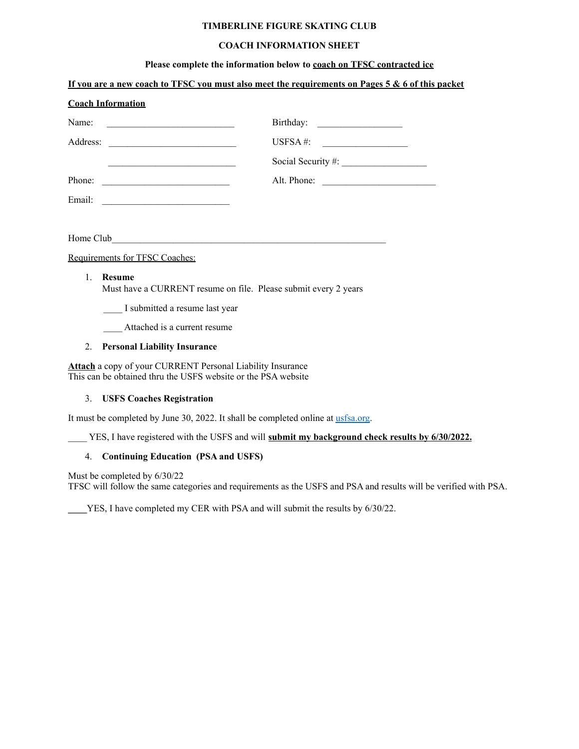# **TIMBERLINE FIGURE SKATING CLUB**

# **COACH INFORMATION SHEET**

### **Please complete the information below to coach on TFSC contracted ice**

|                  | If you are a new coach to TFSC you must also meet the requirements on Pages 5 & 6 of this packet                                                                                                                                     |
|------------------|--------------------------------------------------------------------------------------------------------------------------------------------------------------------------------------------------------------------------------------|
|                  | <b>Coach Information</b>                                                                                                                                                                                                             |
| Name:            | <u> 1989 - Johann Harry Barn, mars and de Barn, mars and de Barn, mars and de Barn, mars and de Barn, mars and de</u>                                                                                                                |
|                  |                                                                                                                                                                                                                                      |
|                  | <u>and the state of the state of the state of the state of the state of the state of the state of the state of the state of the state of the state of the state of the state of the state of the state of the state of the state</u> |
|                  | Alt. Phone:<br>Phone:                                                                                                                                                                                                                |
|                  |                                                                                                                                                                                                                                      |
|                  |                                                                                                                                                                                                                                      |
|                  |                                                                                                                                                                                                                                      |
|                  | Requirements for TFSC Coaches:                                                                                                                                                                                                       |
| $\mathbf{1}$     | <b>Resume</b><br>Must have a CURRENT resume on file. Please submit every 2 years<br>I submitted a resume last year                                                                                                                   |
|                  | Attached is a current resume                                                                                                                                                                                                         |
| $\overline{2}$ . | <b>Personal Liability Insurance</b>                                                                                                                                                                                                  |
|                  |                                                                                                                                                                                                                                      |
|                  | <b>Attach</b> a copy of your CURRENT Personal Liability Insurance<br>This can be obtained thru the USFS website or the PSA website                                                                                                   |
|                  |                                                                                                                                                                                                                                      |

3. **USFS Coaches Registration**

It must be completed by June 30, 2022. It shall be completed online at [usfsa.org](http://www.usfsa.org).

\_\_\_\_ YES, I have registered with the USFS and will **submit my background check results by 6/30/2022.**

#### 4. **Continuing Education (PSA and USFS)**

Must be completed by 6/30/22

TFSC will follow the same categories and requirements as the USFS and PSA and results will be verified with PSA.

**\_\_\_\_**YES, I have completed my CER with PSA and will submit the results by 6/30/22.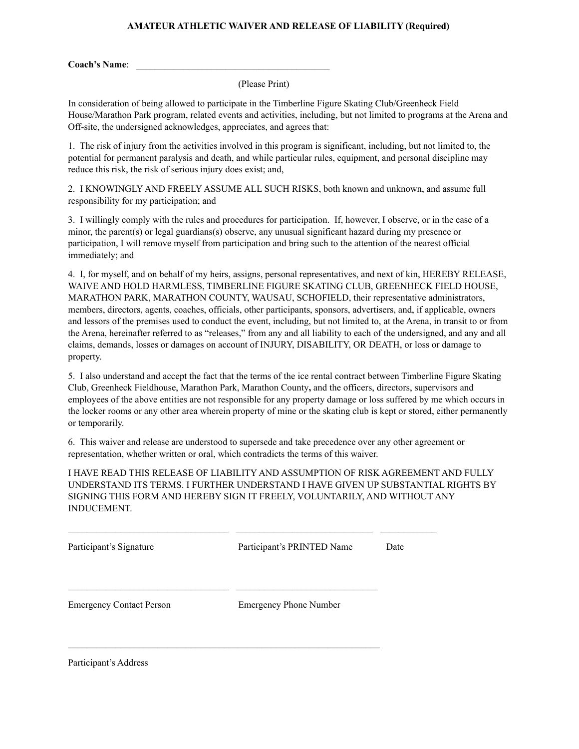# **AMATEUR ATHLETIC WAIVER AND RELEASE OF LIABILITY (Required)**

**Coach's Name**: \_\_\_\_\_\_\_\_\_\_\_\_\_\_\_\_\_\_\_\_\_\_\_\_\_\_\_\_\_\_\_\_\_\_\_\_\_\_\_\_\_

(Please Print)

In consideration of being allowed to participate in the Timberline Figure Skating Club/Greenheck Field House/Marathon Park program, related events and activities, including, but not limited to programs at the Arena and Off-site, the undersigned acknowledges, appreciates, and agrees that:

1. The risk of injury from the activities involved in this program is significant, including, but not limited to, the potential for permanent paralysis and death, and while particular rules, equipment, and personal discipline may reduce this risk, the risk of serious injury does exist; and,

2. I KNOWINGLY AND FREELY ASSUME ALL SUCH RISKS, both known and unknown, and assume full responsibility for my participation; and

3. I willingly comply with the rules and procedures for participation. If, however, I observe, or in the case of a minor, the parent(s) or legal guardians(s) observe, any unusual significant hazard during my presence or participation, I will remove myself from participation and bring such to the attention of the nearest official immediately; and

4. I, for myself, and on behalf of my heirs, assigns, personal representatives, and next of kin, HEREBY RELEASE, WAIVE AND HOLD HARMLESS, TIMBERLINE FIGURE SKATING CLUB, GREENHECK FIELD HOUSE, MARATHON PARK, MARATHON COUNTY, WAUSAU, SCHOFIELD, their representative administrators, members, directors, agents, coaches, officials, other participants, sponsors, advertisers, and, if applicable, owners and lessors of the premises used to conduct the event, including, but not limited to, at the Arena, in transit to or from the Arena, hereinafter referred to as "releases," from any and all liability to each of the undersigned, and any and all claims, demands, losses or damages on account of INJURY, DISABILITY, OR DEATH, or loss or damage to property.

5. I also understand and accept the fact that the terms of the ice rental contract between Timberline Figure Skating Club, Greenheck Fieldhouse, Marathon Park, Marathon County**,** and the officers, directors, supervisors and employees of the above entities are not responsible for any property damage or loss suffered by me which occurs in the locker rooms or any other area wherein property of mine or the skating club is kept or stored, either permanently or temporarily.

6. This waiver and release are understood to supersede and take precedence over any other agreement or representation, whether written or oral, which contradicts the terms of this waiver.

I HAVE READ THIS RELEASE OF LIABILITY AND ASSUMPTION OF RISK AGREEMENT AND FULLY UNDERSTAND ITS TERMS. I FURTHER UNDERSTAND I HAVE GIVEN UP SUBSTANTIAL RIGHTS BY SIGNING THIS FORM AND HEREBY SIGN IT FREELY, VOLUNTARILY, AND WITHOUT ANY INDUCEMENT.

| Participant's Signature         | Participant's PRINTED Name    | Date |
|---------------------------------|-------------------------------|------|
| <b>Emergency Contact Person</b> | <b>Emergency Phone Number</b> |      |

Participant's Address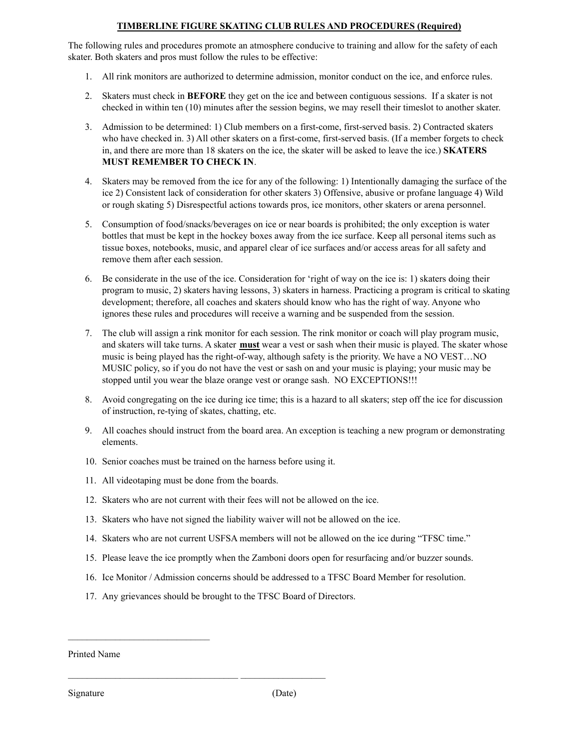# **TIMBERLINE FIGURE SKATING CLUB RULES AND PROCEDURES (Required)**

The following rules and procedures promote an atmosphere conducive to training and allow for the safety of each skater. Both skaters and pros must follow the rules to be effective:

- 1. All rink monitors are authorized to determine admission, monitor conduct on the ice, and enforce rules.
- 2. Skaters must check in **BEFORE** they get on the ice and between contiguous sessions. If a skater is not checked in within ten (10) minutes after the session begins, we may resell their timeslot to another skater.
- 3. Admission to be determined: 1) Club members on a first-come, first-served basis. 2) Contracted skaters who have checked in. 3) All other skaters on a first-come, first-served basis. (If a member forgets to check in, and there are more than 18 skaters on the ice, the skater will be asked to leave the ice.) **SKATERS MUST REMEMBER TO CHECK IN**.
- 4. Skaters may be removed from the ice for any of the following: 1) Intentionally damaging the surface of the ice 2) Consistent lack of consideration for other skaters 3) Offensive, abusive or profane language 4) Wild or rough skating 5) Disrespectful actions towards pros, ice monitors, other skaters or arena personnel.
- 5. Consumption of food/snacks/beverages on ice or near boards is prohibited; the only exception is water bottles that must be kept in the hockey boxes away from the ice surface. Keep all personal items such as tissue boxes, notebooks, music, and apparel clear of ice surfaces and/or access areas for all safety and remove them after each session.
- 6. Be considerate in the use of the ice. Consideration for 'right of way on the ice is: 1) skaters doing their program to music, 2) skaters having lessons, 3) skaters in harness. Practicing a program is critical to skating development; therefore, all coaches and skaters should know who has the right of way. Anyone who ignores these rules and procedures will receive a warning and be suspended from the session.
- 7. The club will assign a rink monitor for each session. The rink monitor or coach will play program music, and skaters will take turns. A skater **must** wear a vest or sash when their music is played. The skater whose music is being played has the right-of-way, although safety is the priority. We have a NO VEST…NO MUSIC policy, so if you do not have the vest or sash on and your music is playing; your music may be stopped until you wear the blaze orange vest or orange sash. NO EXCEPTIONS!!!
- 8. Avoid congregating on the ice during ice time; this is a hazard to all skaters; step off the ice for discussion of instruction, re-tying of skates, chatting, etc.
- 9. All coaches should instruct from the board area. An exception is teaching a new program or demonstrating elements.
- 10. Senior coaches must be trained on the harness before using it.
- 11. All videotaping must be done from the boards.
- 12. Skaters who are not current with their fees will not be allowed on the ice.
- 13. Skaters who have not signed the liability waiver will not be allowed on the ice.
- 14. Skaters who are not current USFSA members will not be allowed on the ice during "TFSC time."
- 15. Please leave the ice promptly when the Zamboni doors open for resurfacing and/or buzzer sounds.
- 16. Ice Monitor / Admission concerns should be addressed to a TFSC Board Member for resolution.
- 17. Any grievances should be brought to the TFSC Board of Directors.

 $\mathcal{L}_\text{max}$  and the contract of the contract of the contract of the contract of the contract of the contract of

Printed Name